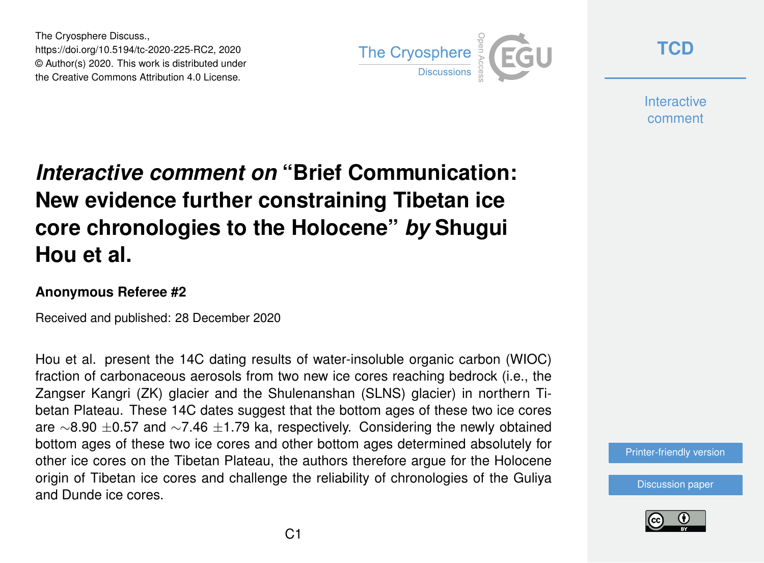The Cryosphere Discuss., https://doi.org/10.5194/tc-2020-225-RC2, 2020 © Author(s) 2020. This work is distributed under the Creative Commons Attribution 4.0 License.



**[TCD](https://tc.copernicus.org/preprints/)**

**Interactive** comment

## *Interactive comment on* **"Brief Communication: New evidence further constraining Tibetan ice core chronologies to the Holocene"** *by* **Shugui Hou et al.**

## **Anonymous Referee #2**

Received and published: 28 December 2020

Hou et al. present the 14C dating results of water-insoluble organic carbon (WIOC) fraction of carbonaceous aerosols from two new ice cores reaching bedrock (i.e., the Zangser Kangri (ZK) glacier and the Shulenanshan (SLNS) glacier) in northern Tibetan Plateau. These 14C dates suggest that the bottom ages of these two ice cores are ∼8.90 ±0.57 and ∼7.46 ±1.79 ka, respectively. Considering the newly obtained bottom ages of these two ice cores and other bottom ages determined absolutely for other ice cores on the Tibetan Plateau, the authors therefore argue for the Holocene origin of Tibetan ice cores and challenge the reliability of chronologies of the Guliya and Dunde ice cores.

[Printer-friendly version](https://tc.copernicus.org/preprints/tc-2020-225/tc-2020-225-RC2-print.pdf)

[Discussion paper](https://tc.copernicus.org/preprints/tc-2020-225)